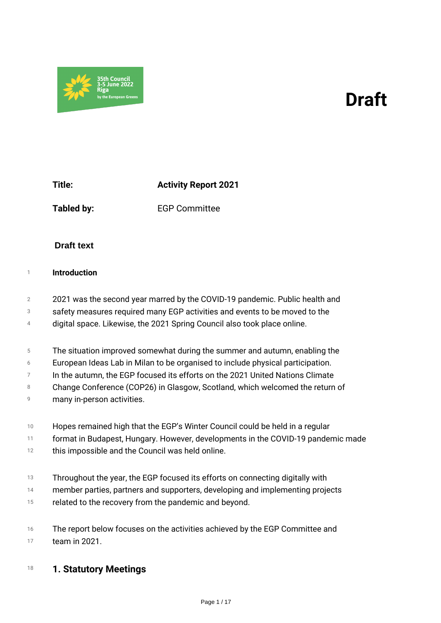# *Draft*

*Title: Activity Report 2021*

35th Counci<mark>l</mark><br>3-5 June 2022

*Tabled by: EGP Committee*

# **Draft text**

# *<sup>1</sup> Introduction*

- *2 2021 was the second year marred by the COVID-19 pandemic. Public health and*
- *3 safety measures required many EGP activities and events to be moved to the*
- *4 digital space. Likewise, the 2021 Spring Council also took place online.*
- *5 The situation improved somewhat during the summer and autumn, enabling the*
- *6 European Ideas Lab in Milan to be organised to include physical participation.*
- *7 In the autumn, the EGP focused its efforts on the 2021 United Nations Climate*
- *8 Change Conference (COP26) in Glasgow, Scotland, which welcomed the return of*
- *9 many in-person activities.*
- *10 Hopes remained high that the EGP's Winter Council could be held in a regular*
- *11 format in Budapest, Hungary. However, developments in the COVID-19 pandemic made*
- *12 this impossible and the Council was held online.*
- *13 Throughout the year, the EGP focused its efforts on connecting digitally with*
- *14 member parties, partners and supporters, developing and implementing projects*
- *15 related to the recovery from the pandemic and beyond.*
- *16 17 The report below focuses on the activities achieved by the EGP Committee and team in 2021.*

# *<sup>18</sup> 1. Statutory Meetings*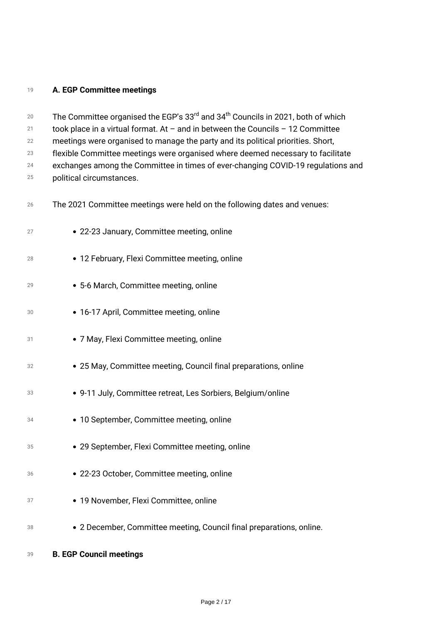# *A. EGP Committee meetings*

 *The Committee organised the EGP's 33rd and 34th Councils in 2021, both of which took place in a virtual format. At – and in between the Councils – 12 Committee meetings were organised to manage the party and its political priorities. Short, flexible Committee meetings were organised where deemed necessary to facilitate exchanges among the Committee in times of ever-changing COVID-19 regulations and political circumstances. The 2021 Committee meetings were held on the following dates and venues: 22-23 January, Committee meeting, online 12 February, Flexi Committee meeting, online 5-6 March, Committee meeting, online 16-17 April, Committee meeting, online 7 May, Flexi Committee meeting, online 25 May, Committee meeting, Council final preparations, online 9-11 July, Committee retreat, Les Sorbiers, Belgium/online 10 September, Committee meeting, online 29 September, Flexi Committee meeting, online 22-23 October, Committee meeting, online 19 November, Flexi Committee, online 2 December, Committee meeting, Council final preparations, online.*

*B. EGP Council meetings*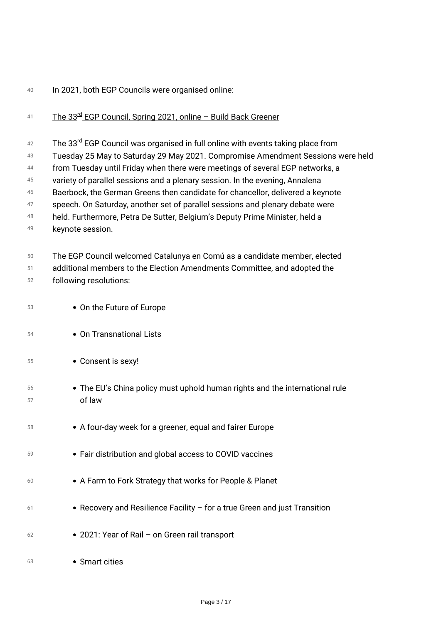# *In 2021, both EGP Councils were organised online:*

# *The 33rd EGP Council, Spring 2021, online – Build Back Greener*

 *The 33rd EGP Council was organised in full online with events taking place from*

 *Tuesday 25 May to Saturday 29 May 2021. Compromise Amendment Sessions were held*

 *from Tuesday until Friday when there were meetings of several EGP networks, a*

 *variety of parallel sessions and a plenary session. In the evening, Annalena*

 *Baerbock, the German Greens then candidate for chancellor, delivered a keynote*

- *speech. On Saturday, another set of parallel sessions and plenary debate were*
- *held. Furthermore, Petra De Sutter, Belgium's Deputy Prime Minister, held a*
- *keynote session.*
- *The EGP Council welcomed Catalunya en Comú as a candidate member, elected*
- *additional members to the Election Amendments Committee, and adopted the following resolutions:*
- *On the Future of Europe*
- *On Transnational Lists*
- *Consent is sexy!*
- *The EU's China policy must uphold human rights and the international rule of law*
- *A four-day week for a greener, equal and fairer Europe*
- *Fair distribution and global access to COVID vaccines*
- *A Farm to Fork Strategy that works for People & Planet*
- *Recovery and Resilience Facility for a true Green and just Transition*
- *2021: Year of Rail on Green rail transport*
- *Smart cities*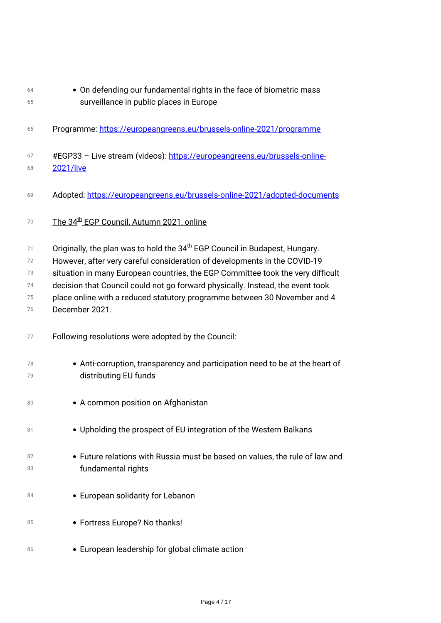| 64 | • On defending our fundamental rights in the face of biometric mass                     |  |
|----|-----------------------------------------------------------------------------------------|--|
| 65 | surveillance in public places in Europe                                                 |  |
| 66 | Programme: https://europeangreens.eu/brussels-online-2021/programme                     |  |
| 67 | #EGP33 - Live stream (videos): https://europeangreens.eu/brussels-online-               |  |
| 68 | <b>2021/live</b>                                                                        |  |
| 69 | Adopted: https://europeangreens.eu/brussels-online-2021/adopted-documents               |  |
| 70 | The 34 <sup>th</sup> EGP Council, Autumn 2021, online                                   |  |
| 71 | Originally, the plan was to hold the 34 <sup>th</sup> EGP Council in Budapest, Hungary. |  |
| 72 | However, after very careful consideration of developments in the COVID-19               |  |
| 73 | situation in many European countries, the EGP Committee took the very difficult         |  |
| 74 | decision that Council could not go forward physically. Instead, the event took          |  |
| 75 | place online with a reduced statutory programme between 30 November and 4               |  |
| 76 | December 2021.                                                                          |  |
| 77 | Following resolutions were adopted by the Council:                                      |  |
| 78 | • Anti-corruption, transparency and participation need to be at the heart of            |  |
| 79 | distributing EU funds                                                                   |  |
| 80 | • A common position on Afghanistan                                                      |  |
| 81 | • Upholding the prospect of EU integration of the Western Balkans                       |  |
| 82 | • Future relations with Russia must be based on values, the rule of law and             |  |
| 83 | fundamental rights                                                                      |  |
| 84 | • European solidarity for Lebanon                                                       |  |
| 85 | • Fortress Europe? No thanks!                                                           |  |
| 86 | • European leadership for global climate action                                         |  |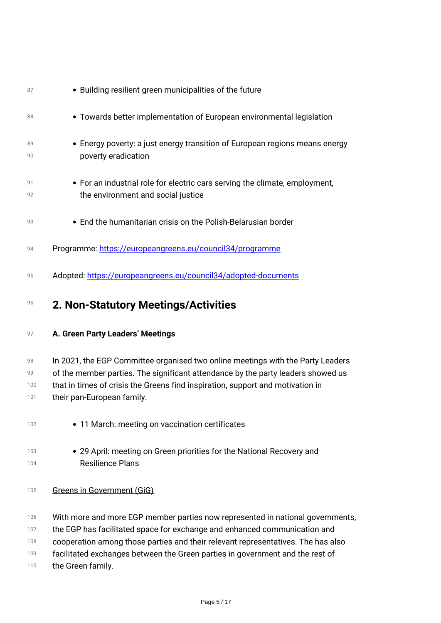| 87                     | • Building resilient green municipalities of the future                                                                                                                                                                                                                             |
|------------------------|-------------------------------------------------------------------------------------------------------------------------------------------------------------------------------------------------------------------------------------------------------------------------------------|
| 88                     | • Towards better implementation of European environmental legislation                                                                                                                                                                                                               |
| 89<br>90               | • Energy poverty: a just energy transition of European regions means energy<br>poverty eradication                                                                                                                                                                                  |
| 91<br>92               | • For an industrial role for electric cars serving the climate, employment,<br>the environment and social justice                                                                                                                                                                   |
| 93                     | • End the humanitarian crisis on the Polish-Belarusian border                                                                                                                                                                                                                       |
| 94                     | Programme: https://europeangreens.eu/council34/programme                                                                                                                                                                                                                            |
| 95                     | Adopted: https://europeangreens.eu/council34/adopted-documents                                                                                                                                                                                                                      |
| 96                     | 2. Non-Statutory Meetings/Activities                                                                                                                                                                                                                                                |
| 97                     | A. Green Party Leaders' Meetings                                                                                                                                                                                                                                                    |
| 98<br>99<br>100<br>101 | In 2021, the EGP Committee organised two online meetings with the Party Leaders<br>of the member parties. The significant attendance by the party leaders showed us<br>that in times of crisis the Greens find inspiration, support and motivation in<br>their pan-European family. |
| 102                    | • 11 March: meeting on vaccination certificates                                                                                                                                                                                                                                     |
| 103<br>104             | • 29 April: meeting on Green priorities for the National Recovery and<br><b>Resilience Plans</b>                                                                                                                                                                                    |
| 105                    | <b>Greens in Government (GiG)</b>                                                                                                                                                                                                                                                   |
| 106<br>107<br>108      | With more and more EGP member parties now represented in national governments,<br>the EGP has facilitated space for exchange and enhanced communication and<br>cooperation among those parties and their relevant representatives. The has also                                     |
| 109                    | facilitated exchanges between the Green parties in government and the rest of                                                                                                                                                                                                       |

*the Green family.*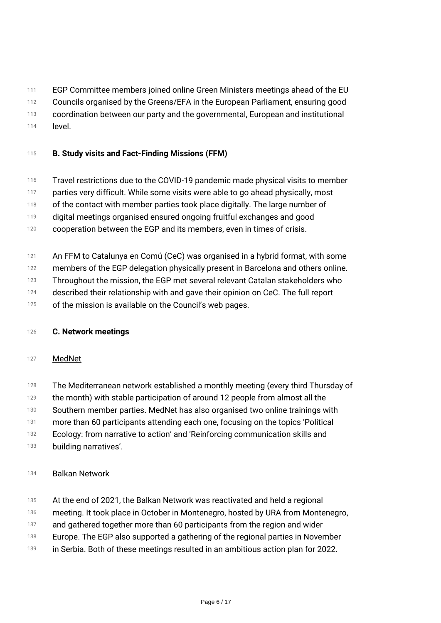- *111 EGP Committee members joined online Green Ministers meetings ahead of the EU*
- *112 Councils organised by the Greens/EFA in the European Parliament, ensuring good*
- *113 coordination between our party and the governmental, European and institutional*
- *114 level.*

# *<sup>115</sup> B. Study visits and Fact-Finding Missions (FFM)*

- *116 Travel restrictions due to the COVID-19 pandemic made physical visits to member*
- *117 parties very difficult. While some visits were able to go ahead physically, most*
- *118 of the contact with member parties took place digitally. The large number of*
- *119 digital meetings organised ensured ongoing fruitful exchanges and good*
- *120 cooperation between the EGP and its members, even in times of crisis.*
- *121 An FFM to Catalunya en Comú (CeC) was organised in a hybrid format, with some*
- *122 members of the EGP delegation physically present in Barcelona and others online.*
- *123 Throughout the mission, the EGP met several relevant Catalan stakeholders who*
- *124 described their relationship with and gave their opinion on CeC. The full report*
- *125 of the mission is available on the Council's web pages.*

# *<sup>126</sup> C. Network meetings*

# *<sup>127</sup> MedNet*

- *128 The Mediterranean network established a monthly meeting (every third Thursday of*
- *129 the month) with stable participation of around 12 people from almost all the*
- *130 Southern member parties. MedNet has also organised two online trainings with*
- *131 more than 60 participants attending each one, focusing on the topics 'Political*
- *132 Ecology: from narrative to action' and 'Reinforcing communication skills and*
- *133 building narratives'.*

# *<sup>134</sup> Balkan Network*

- *135 At the end of 2021, the Balkan Network was reactivated and held a regional*
- *136 meeting. It took place in October in Montenegro, hosted by URA from Montenegro,*
- *137 and gathered together more than 60 participants from the region and wider*
- *138 Europe. The EGP also supported a gathering of the regional parties in November*
- *139 in Serbia. Both of these meetings resulted in an ambitious action plan for 2022.*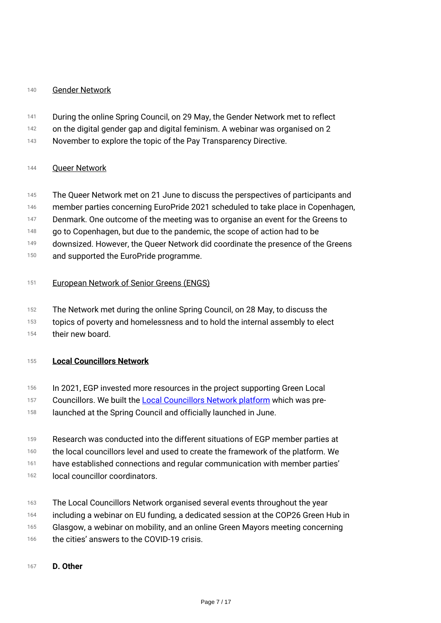# *<sup>140</sup> Gender Network*

- *141 During the online Spring Council, on 29 May, the Gender Network met to reflect*
- *142 on the digital gender gap and digital feminism. A webinar was organised on 2*
- *143 November to explore the topic of the Pay Transparency Directive.*

# *<sup>144</sup> Queer Network*

- *145 The Queer Network met on 21 June to discuss the perspectives of participants and*
- *146 member parties concerning EuroPride 2021 scheduled to take place in Copenhagen,*
- *147 Denmark. One outcome of the meeting was to organise an event for the Greens to*
- *148 go to Copenhagen, but due to the pandemic, the scope of action had to be*
- *149 downsized. However, the Queer Network did coordinate the presence of the Greens*
- *150 and supported the EuroPride programme.*

# *<sup>151</sup> European Network of Senior Greens (ENGS)*

- *152 The Network met during the online Spring Council, on 28 May, to discuss the*
- *153 topics of poverty and homelessness and to hold the internal assembly to elect*
- *154 their new board.*

# *<sup>155</sup> Local Councillors Network*

- *156 In 2021, EGP invested more resources in the project supporting Green Local*
- *157 Councillors. We built the [Local Councillors Network platform](https://localcouncillors.europeangreens.eu/) which was pre-*
- *158 launched at the Spring Council and officially launched in June.*
- *159 Research was conducted into the different situations of EGP member parties at*
- *160 the local councillors level and used to create the framework of the platform. We*
- *161 have established connections and regular communication with member parties'*
- *162 local councillor coordinators.*
- *163 The Local Councillors Network organised several events throughout the year*
- *164 including a webinar on EU funding, a dedicated session at the COP26 Green Hub in*
- *165 Glasgow, a webinar on mobility, and an online Green Mayors meeting concerning*
- *166 the cities' answers to the COVID-19 crisis.*
- *<sup>167</sup> D. Other*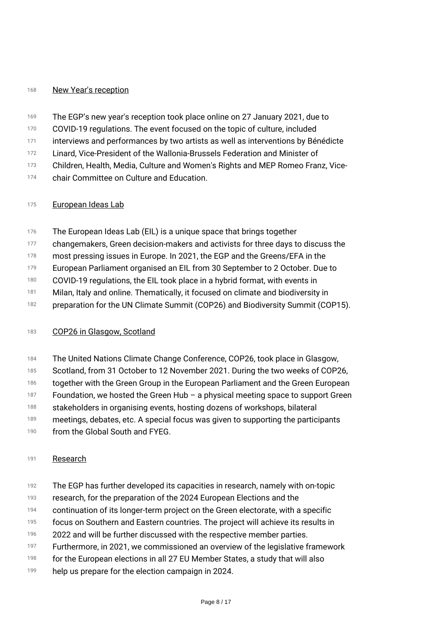# *<sup>168</sup> New Year's reception*

- *169 The EGP's new year's reception took place online on 27 January 2021, due to*
- *170 COVID-19 regulations. The event focused on the topic of culture, included*
- *171 interviews and performances by two artists as well as interventions by Bénédicte*
- *172 Linard, Vice-President of the Wallonia-Brussels Federation and Minister of*
- *173 Children, Health, Media, Culture and Women's Rights and MEP Romeo Franz, Vice-*
- *174 chair Committee on Culture and Education.*

# *<sup>175</sup> European Ideas Lab*

- *176 The European Ideas Lab (EIL) is a unique space that brings together*
- *177 changemakers, Green decision-makers and activists for three days to discuss the*
- *178 most pressing issues in Europe. In 2021, the EGP and the Greens/EFA in the*
- *179 European Parliament organised an EIL from 30 September to 2 October. Due to*
- *180 COVID-19 regulations, the EIL took place in a hybrid format, with events in*
- *181 Milan, Italy and online. Thematically, it focused on climate and biodiversity in*
- *182 preparation for the UN Climate Summit (COP26) and Biodiversity Summit (COP15).*

# *<sup>183</sup> COP26 in Glasgow, Scotland*

- *184 The United Nations Climate Change Conference, COP26, took place in Glasgow,*
- *185 Scotland, from 31 October to 12 November 2021. During the two weeks of COP26,*
- *186 together with the Green Group in the European Parliament and the Green European*
- *187 Foundation, we hosted the Green Hub – a physical meeting space to support Green*
- *188 stakeholders in organising events, hosting dozens of workshops, bilateral*
- *189 meetings, debates, etc. A special focus was given to supporting the participants*
- *190 from the Global South and FYEG.*

# *<sup>191</sup> Research*

- *192 The EGP has further developed its capacities in research, namely with on-topic*
- *193 research, for the preparation of the 2024 European Elections and the*
- *194 continuation of its longer-term project on the Green electorate, with a specific*
- *195 focus on Southern and Eastern countries. The project will achieve its results in*
- *196 2022 and will be further discussed with the respective member parties.*
- *197 Furthermore, in 2021, we commissioned an overview of the legislative framework*
- *198 for the European elections in all 27 EU Member States, a study that will also*
- *199 help us prepare for the election campaign in 2024.*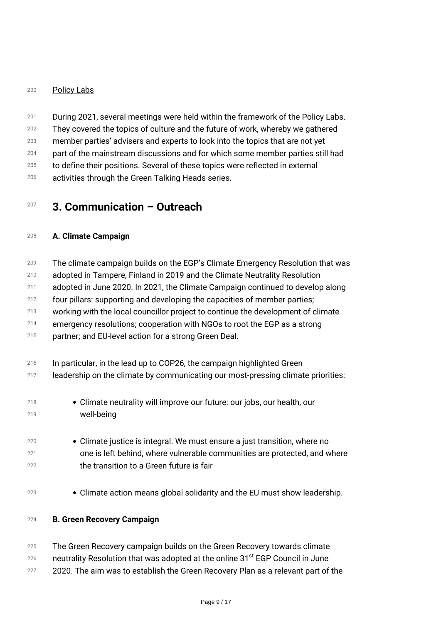## *<sup>200</sup> Policy Labs*

*201 202 203 204 205 206 During 2021, several meetings were held within the framework of the Policy Labs. They covered the topics of culture and the future of work, whereby we gathered member parties' advisers and experts to look into the topics that are not yet part of the mainstream discussions and for which some member parties still had to define their positions. Several of these topics were reflected in external activities through the Green Talking Heads series.*

# *<sup>207</sup> 3. Communication – Outreach*

# *<sup>208</sup> A. Climate Campaign*

*209 210 The climate campaign builds on the EGP's Climate Emergency Resolution that was adopted in Tampere, Finland in 2019 and the Climate Neutrality Resolution*

*211 adopted in June 2020. In 2021, the Climate Campaign continued to develop along*

*212 four pillars: supporting and developing the capacities of member parties;*

*213 working with the local councillor project to continue the development of climate*

*214 emergency resolutions; cooperation with NGOs to root the EGP as a strong*

*215 partner; and EU-level action for a strong Green Deal.*

| 216 |  | In particular, in the lead up to COP26, the campaign highlighted Green |
|-----|--|------------------------------------------------------------------------|
|     |  |                                                                        |

*217 leadership on the climate by communicating our most-pressing climate priorities:*

- *218 219 Climate neutrality will improve our future: our jobs, our health, our well-being*
- *220 221 222 Climate justice is integral. We must ensure a just transition, where no one is left behind, where vulnerable communities are protected, and where the transition to a Green future is fair*
- *<sup>223</sup> Climate action means global solidarity and the EU must show leadership.*

## *<sup>224</sup> B. Green Recovery Campaign*

- *225 The Green Recovery campaign builds on the Green Recovery towards climate*
- *226 neutrality Resolution that was adopted at the online 31st EGP Council in June*
- *227 2020. The aim was to establish the Green Recovery Plan as a relevant part of the*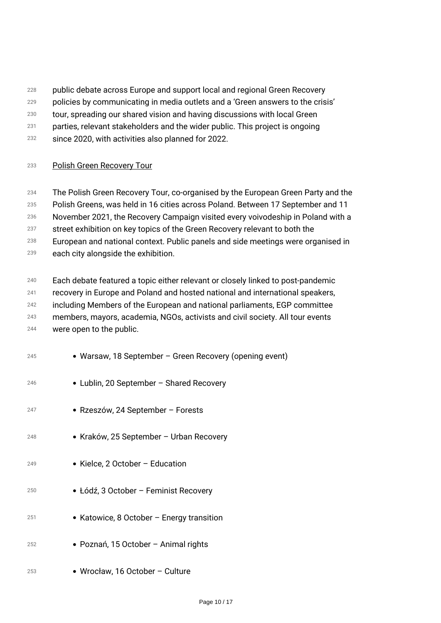- *public debate across Europe and support local and regional Green Recovery*
- *policies by communicating in media outlets and a 'Green answers to the crisis'*
- *tour, spreading our shared vision and having discussions with local Green*
- *parties, relevant stakeholders and the wider public. This project is ongoing*
- *since 2020, with activities also planned for 2022.*

# *Polish Green Recovery Tour*

 *The Polish Green Recovery Tour, co-organised by the European Green Party and the*

 *Polish Greens, was held in 16 cities across Poland. Between 17 September and 11*

 *November 2021, the Recovery Campaign visited every voivodeship in Poland with a*

- *street exhibition on key topics of the Green Recovery relevant to both the*
- *European and national context. Public panels and side meetings were organised in*
- *each city alongside the exhibition.*
- *Each debate featured a topic either relevant or closely linked to post-pandemic recovery in Europe and Poland and hosted national and international speakers, including Members of the European and national parliaments, EGP committee members, mayors, academia, NGOs, activists and civil society. All tour events were open to the public.*

| 245 | • Warsaw, 18 September – Green Recovery (opening event) |
|-----|---------------------------------------------------------|
| 246 | • Lublin, 20 September – Shared Recovery                |
| 247 | • Rzeszów, 24 September – Forests                       |
| 248 | • Kraków, 25 September – Urban Recovery                 |
| 249 | • Kielce, 2 October – Education                         |
| 250 | • Łódź, 3 October – Feminist Recovery                   |
| 251 | • Katowice, 8 October – Energy transition               |
| 252 | • Poznań, 15 October – Animal rights                    |
| 253 | • Wrocław, 16 October – Culture                         |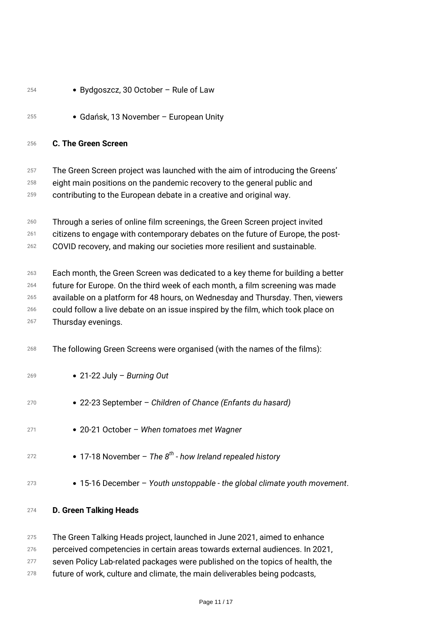| 254                             | • Bydgoszcz, 30 October - Rule of Law                                                                                                                                                                                                                                                                                                                        |
|---------------------------------|--------------------------------------------------------------------------------------------------------------------------------------------------------------------------------------------------------------------------------------------------------------------------------------------------------------------------------------------------------------|
| 255                             | • Gdańsk, 13 November – European Unity                                                                                                                                                                                                                                                                                                                       |
| 256                             | <b>C. The Green Screen</b>                                                                                                                                                                                                                                                                                                                                   |
| 257<br>258<br>259               | The Green Screen project was launched with the aim of introducing the Greens'<br>eight main positions on the pandemic recovery to the general public and<br>contributing to the European debate in a creative and original way.                                                                                                                              |
| 260<br>261<br>262               | Through a series of online film screenings, the Green Screen project invited<br>citizens to engage with contemporary debates on the future of Europe, the post-<br>COVID recovery, and making our societies more resilient and sustainable.                                                                                                                  |
| 263<br>264<br>265<br>266<br>267 | Each month, the Green Screen was dedicated to a key theme for building a better<br>future for Europe. On the third week of each month, a film screening was made<br>available on a platform for 48 hours, on Wednesday and Thursday. Then, viewers<br>could follow a live debate on an issue inspired by the film, which took place on<br>Thursday evenings. |
| 268                             | The following Green Screens were organised (with the names of the films):                                                                                                                                                                                                                                                                                    |
| 269                             | • 21-22 July – Burning Out                                                                                                                                                                                                                                                                                                                                   |
| 270                             | • 22-23 September – Children of Chance (Enfants du hasard)                                                                                                                                                                                                                                                                                                   |
| 271                             | • 20-21 October - When tomatoes met Wagner                                                                                                                                                                                                                                                                                                                   |
| 272                             | • 17-18 November – The $8^{th}$ - how Ireland repealed history                                                                                                                                                                                                                                                                                               |
| 273                             | • 15-16 December - Youth unstoppable - the global climate youth movement.                                                                                                                                                                                                                                                                                    |
| 274                             | <b>D. Green Talking Heads</b>                                                                                                                                                                                                                                                                                                                                |

 *The Green Talking Heads project, launched in June 2021, aimed to enhance perceived competencies in certain areas towards external audiences. In 2021, seven Policy Lab-related packages were published on the topics of health, the future of work, culture and climate, the main deliverables being podcasts,*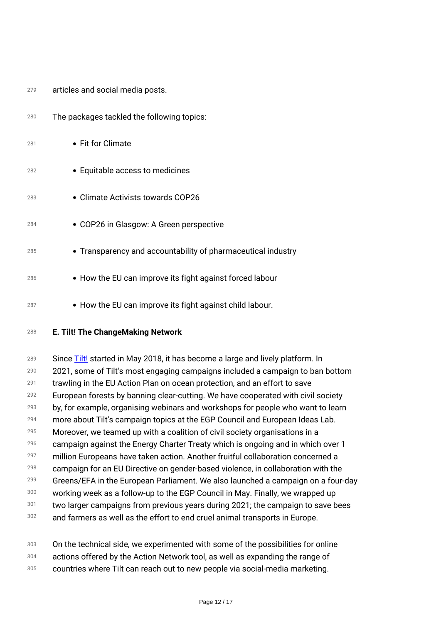| 279 | articles and social media posts. |  |  |  |
|-----|----------------------------------|--|--|--|
|-----|----------------------------------|--|--|--|

| 280 | The packages tackled the following topics:                   |
|-----|--------------------------------------------------------------|
| 281 | • Fit for Climate                                            |
| 282 | • Equitable access to medicines                              |
| 283 | • Climate Activists towards COP26                            |
| 284 | • COP26 in Glasgow: A Green perspective                      |
| 285 | • Transparency and accountability of pharmaceutical industry |
| 286 | • How the EU can improve its fight against forced labour     |
| 287 | • How the EU can improve its fight against child labour.     |

*<sup>288</sup> E. Tilt! The ChangeMaking Network*

*289 290 291 292 293 294 295 296 297 298 299 300 301 302 Since [Tilt!](https://www.tilt.green/) started in May 2018, it has become a large and lively platform. In 2021, some of Tilt's most engaging campaigns included a campaign to ban bottom trawling in the EU Action Plan on ocean protection, and an effort to save European forests by banning clear-cutting. We have cooperated with civil society by, for example, organising webinars and workshops for people who want to learn more about Tilt's campaign topics at the EGP Council and European Ideas Lab. Moreover, we teamed up with a coalition of civil society organisations in a campaign against the Energy Charter Treaty which is ongoing and in which over 1 million Europeans have taken action. Another fruitful collaboration concerned a campaign for an EU Directive on gender-based violence, in collaboration with the Greens/EFA in the European Parliament. We also launched a campaign on a four-day working week as a follow-up to the EGP Council in May. Finally, we wrapped up two larger campaigns from previous years during 2021; the campaign to save bees and farmers as well as the effort to end cruel animal transports in Europe.*

- *303 304 On the technical side, we experimented with some of the possibilities for online actions offered by the Action Network tool, as well as expanding the range of*
- *305 countries where Tilt can reach out to new people via social-media marketing.*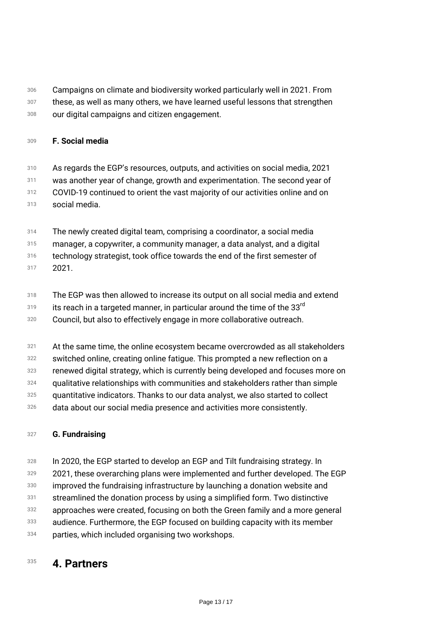- *306 307 Campaigns on climate and biodiversity worked particularly well in 2021. From these, as well as many others, we have learned useful lessons that strengthen*
- *308 our digital campaigns and citizen engagement.*

# *<sup>309</sup> F. Social media*

- *310 311 312 313 As regards the EGP's resources, outputs, and activities on social media, 2021 was another year of change, growth and experimentation. The second year of COVID-19 continued to orient the vast majority of our activities online and on social media.*
- *314 The newly created digital team, comprising a coordinator, a social media*
- *315 manager, a copywriter, a community manager, a data analyst, and a digital*
- *316 technology strategist, took office towards the end of the first semester of*
- *317 2021.*
- *318 The EGP was then allowed to increase its output on all social media and extend*
- *319 its reach in a targeted manner, in particular around the time of the 33rd*
- *320 Council, but also to effectively engage in more collaborative outreach.*
- *321 At the same time, the online ecosystem became overcrowded as all stakeholders*
- *322 switched online, creating online fatigue. This prompted a new reflection on a*
- *323 renewed digital strategy, which is currently being developed and focuses more on*
- *324 qualitative relationships with communities and stakeholders rather than simple*
- *325 quantitative indicators. Thanks to our data analyst, we also started to collect*
- *326 data about our social media presence and activities more consistently.*

# *<sup>327</sup> G. Fundraising*

- *328 In 2020, the EGP started to develop an EGP and Tilt fundraising strategy. In*
- *329 2021, these overarching plans were implemented and further developed. The EGP*
- *330 improved the fundraising infrastructure by launching a donation website and*
- *331 streamlined the donation process by using a simplified form. Two distinctive*
- *332 approaches were created, focusing on both the Green family and a more general*
- *333 audience. Furthermore, the EGP focused on building capacity with its member*
- *334 parties, which included organising two workshops.*

# *<sup>335</sup> 4. Partners*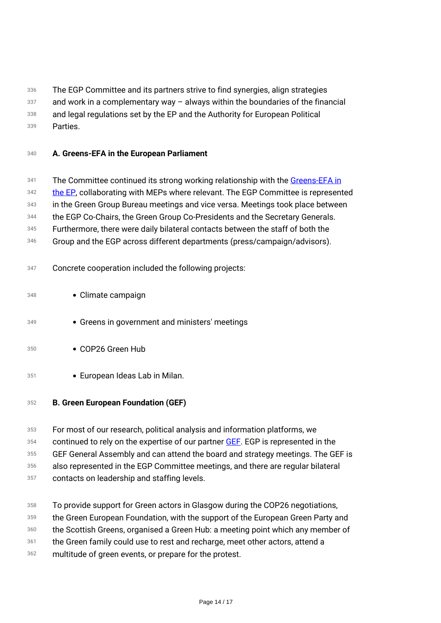- *336 The EGP Committee and its partners strive to find synergies, align strategies*
- *337 and work in a complementary way – always within the boundaries of the financial*
- *338 and legal regulations set by the EP and the Authority for European Political*
- *339 Parties.*
- *<sup>340</sup> A. Greens-EFA in the European Parliament*
- *341 The Committee continued its strong working relationship with the [Greens-EFA in](https://www.greens-efa.eu/en/)*
- *342 [the EP](https://www.greens-efa.eu/en/), collaborating with MEPs where relevant. The EGP Committee is represented*
- *343 in the Green Group Bureau meetings and vice versa. Meetings took place between*
- *344 the EGP Co-Chairs, the Green Group Co-Presidents and the Secretary Generals.*
- *345 Furthermore, there were daily bilateral contacts between the staff of both the*
- *346 Group and the EGP across different departments (press/campaign/advisors).*
- *<sup>347</sup> Concrete cooperation included the following projects:*
- *<sup>348</sup> Climate campaign*
- *<sup>349</sup> Greens in government and ministers' meetings*
- *<sup>350</sup> COP26 Green Hub*
- *<sup>351</sup> European Ideas Lab in Milan.*
- *<sup>352</sup> B. Green European Foundation (GEF)*
- *353 354 355 356 357 For most of our research, political analysis and information platforms, we continued to rely on the expertise of our partner [GEF.](https://gef.eu/) EGP is represented in the GEF General Assembly and can attend the board and strategy meetings. The GEF is also represented in the EGP Committee meetings, and there are regular bilateral contacts on leadership and staffing levels.*
- *358 359 360 361 362 To provide support for Green actors in Glasgow during the COP26 negotiations, the Green European Foundation, with the support of the European Green Party and the Scottish Greens, organised a Green Hub: a meeting point which any member of the Green family could use to rest and recharge, meet other actors, attend a multitude of green events, or prepare for the protest.*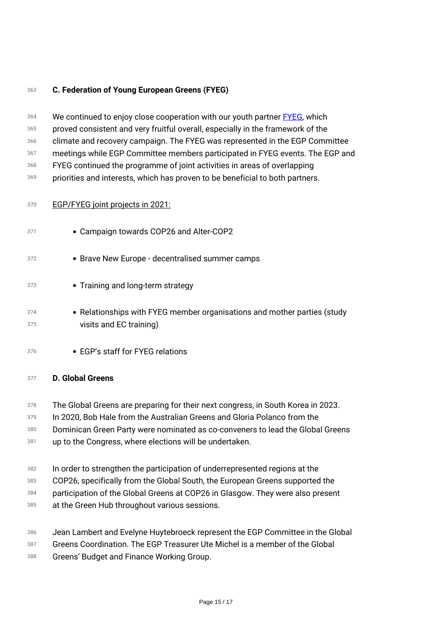# *<sup>363</sup> C. Federation of Young European Greens (FYEG)*

| 364<br>365 | We continued to enjoy close cooperation with our youth partner <b>FYEG</b> , which                                                                              |
|------------|-----------------------------------------------------------------------------------------------------------------------------------------------------------------|
| 366        | proved consistent and very fruitful overall, especially in the framework of the<br>climate and recovery campaign. The FYEG was represented in the EGP Committee |
| 367        | meetings while EGP Committee members participated in FYEG events. The EGP and                                                                                   |
| 368        | FYEG continued the programme of joint activities in areas of overlapping                                                                                        |
| 369        | priorities and interests, which has proven to be beneficial to both partners.                                                                                   |
| 370        | EGP/FYEG joint projects in 2021:                                                                                                                                |
| 371        | • Campaign towards COP26 and Alter-COP2                                                                                                                         |
| 372        | • Brave New Europe - decentralised summer camps                                                                                                                 |
| 373        | • Training and long-term strategy                                                                                                                               |
| 374<br>375 | • Relationships with FYEG member organisations and mother parties (study<br>visits and EC training)                                                             |
| 376        | • EGP's staff for FYEG relations                                                                                                                                |
|            |                                                                                                                                                                 |

## *<sup>377</sup> D. Global Greens*

- *378 The Global Greens are preparing for their next congress, in South Korea in 2023.*
- *379 In 2020, Bob Hale from the Australian Greens and Gloria Polanco from the*
- *380 Dominican Green Party were nominated as co-conveners to lead the Global Greens*
- *381 up to the Congress, where elections will be undertaken.*
- *382 In order to strengthen the participation of underrepresented regions at the*
- *383 COP26, specifically from the Global South, the European Greens supported the*
- *384 participation of the Global Greens at COP26 in Glasgow. They were also present*
- *385 at the Green Hub throughout various sessions.*
- *386 Jean Lambert and Evelyne Huytebroeck represent the EGP Committee in the Global*
- *387 Greens Coordination. The EGP Treasurer Ute Michel is a member of the Global*
- *388 Greens' Budget and Finance Working Group.*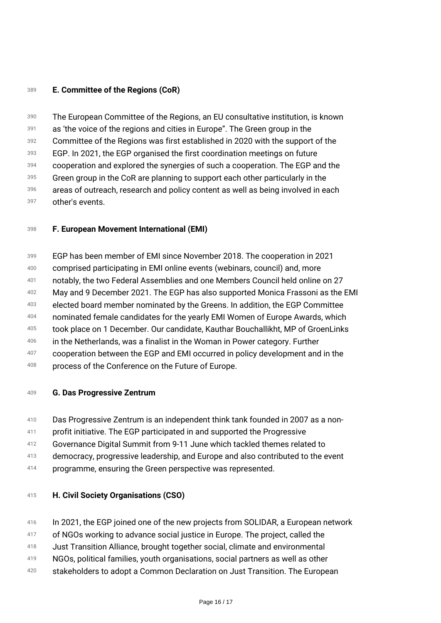# *<sup>389</sup> E. Committee of the Regions (CoR)*

*390 391 392 393 394 395 396 397 The European Committee of the Regions, an EU consultative institution, is known as 'the voice of the regions and cities in Europe". The Green group in the Committee of the Regions was first established in 2020 with the support of the EGP. In 2021, the EGP organised the first coordination meetings on future cooperation and explored the synergies of such a cooperation. The EGP and the Green group in the CoR are planning to support each other particularly in the areas of outreach, research and policy content as well as being involved in each other's events.*

# *<sup>398</sup> F. European Movement International (EMI)*

*399 400 401 402 403 404 405 406 407 408 EGP has been member of EMI since November 2018. The cooperation in 2021 comprised participating in EMI online events (webinars, council) and, more notably, the two Federal Assemblies and one Members Council held online on 27 May and 9 December 2021. The EGP has also supported Monica Frassoni as the EMI elected board member nominated by the Greens. In addition, the EGP Committee nominated female candidates for the yearly EMI Women of Europe Awards, which took place on 1 December. Our candidate, Kauthar Bouchallikht, MP of GroenLinks in the Netherlands, was a finalist in the Woman in Power category. Further cooperation between the EGP and EMI occurred in policy development and in the process of the Conference on the Future of Europe.*

## *<sup>409</sup> G. Das Progressive Zentrum*

- *410 Das Progressive Zentrum is an independent think tank founded in 2007 as a non-*
- *411 profit initiative. The EGP participated in and supported the Progressive*
- *412 Governance Digital Summit from 9-11 June which tackled themes related to*
- *413 democracy, progressive leadership, and Europe and also contributed to the event*
- *414 programme, ensuring the Green perspective was represented.*

## *<sup>415</sup> H. Civil Society Organisations (CSO)*

- *416 In 2021, the EGP joined one of the new projects from SOLIDAR, a European network*
- *417 of NGOs working to advance social justice in Europe. The project, called the*
- *418 Just Transition Alliance, brought together social, climate and environmental*
- *419 NGOs, political families, youth organisations, social partners as well as other*
- *420 stakeholders to adopt a Common Declaration on Just Transition. The European*